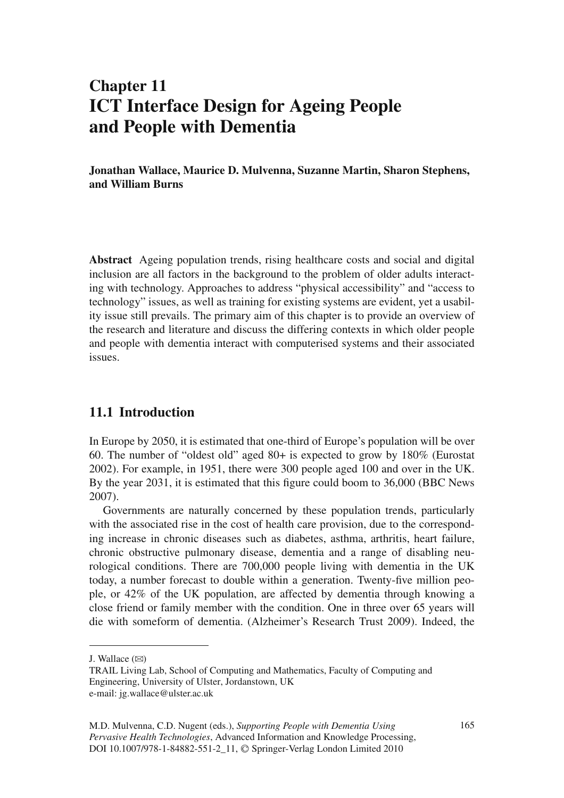# **Chapter 11 ICT Interface Design for Ageing People and People with Dementia**

**Jonathan Wallace, Maurice D. Mulvenna, Suzanne Martin, Sharon Stephens, and William Burns**

**Abstract** Ageing population trends, rising healthcare costs and social and digital inclusion are all factors in the background to the problem of older adults interacting with technology. Approaches to address "physical accessibility" and "access to technology" issues, as well as training for existing systems are evident, yet a usability issue still prevails. The primary aim of this chapter is to provide an overview of the research and literature and discuss the differing contexts in which older people and people with dementia interact with computerised systems and their associated issues.

## **11.1 Introduction**

In Europe by 2050, it is estimated that one-third of Europe's population will be over 60. The number of "oldest old" aged 80+ is expected to grow by 180% (Eurostat 2002). For example, in 1951, there were 300 people aged 100 and over in the UK. By the year 2031, it is estimated that this figure could boom to 36,000 (BBC News 2007).

Governments are naturally concerned by these population trends, particularly with the associated rise in the cost of health care provision, due to the corresponding increase in chronic diseases such as diabetes, asthma, arthritis, heart failure, chronic obstructive pulmonary disease, dementia and a range of disabling neurological conditions. There are 700,000 people living with dementia in the UK today, a number forecast to double within a generation. Twenty-five million people, or 42% of the UK population, are affected by dementia through knowing a close friend or family member with the condition. One in three over 65 years will die with someform of dementia. (Alzheimer's Research Trust 2009). Indeed, the

J. Wallace  $(\boxtimes)$ 

TRAIL Living Lab, School of Computing and Mathematics, Faculty of Computing and Engineering, University of Ulster, Jordanstown, UK e-mail: jg.wallace@ulster.ac.uk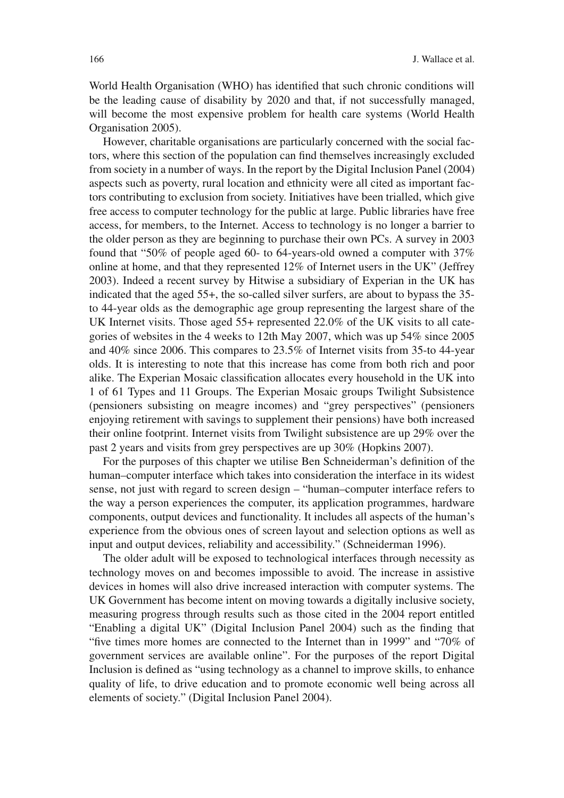World Health Organisation (WHO) has identified that such chronic conditions will be the leading cause of disability by 2020 and that, if not successfully managed, will become the most expensive problem for health care systems (World Health Organisation 2005).

However, charitable organisations are particularly concerned with the social factors, where this section of the population can find themselves increasingly excluded from society in a number of ways. In the report by the Digital Inclusion Panel (2004) aspects such as poverty, rural location and ethnicity were all cited as important factors contributing to exclusion from society. Initiatives have been trialled, which give free access to computer technology for the public at large. Public libraries have free access, for members, to the Internet. Access to technology is no longer a barrier to the older person as they are beginning to purchase their own PCs. A survey in 2003 found that "50% of people aged 60- to 64-years-old owned a computer with 37% online at home, and that they represented 12% of Internet users in the UK" (Jeffrey 2003). Indeed a recent survey by Hitwise a subsidiary of Experian in the UK has indicated that the aged 55+, the so-called silver surfers, are about to bypass the 35 to 44-year olds as the demographic age group representing the largest share of the UK Internet visits. Those aged 55+ represented 22.0% of the UK visits to all categories of websites in the 4 weeks to 12th May 2007, which was up 54% since 2005 and 40% since 2006. This compares to 23.5% of Internet visits from 35-to 44-year olds. It is interesting to note that this increase has come from both rich and poor alike. The Experian Mosaic classification allocates every household in the UK into 1 of 61 Types and 11 Groups. The Experian Mosaic groups Twilight Subsistence (pensioners subsisting on meagre incomes) and "grey perspectives" (pensioners enjoying retirement with savings to supplement their pensions) have both increased their online footprint. Internet visits from Twilight subsistence are up 29% over the past 2 years and visits from grey perspectives are up 30% (Hopkins 2007).

For the purposes of this chapter we utilise Ben Schneiderman's definition of the human–computer interface which takes into consideration the interface in its widest sense, not just with regard to screen design – "human–computer interface refers to the way a person experiences the computer, its application programmes, hardware components, output devices and functionality. It includes all aspects of the human's experience from the obvious ones of screen layout and selection options as well as input and output devices, reliability and accessibility." (Schneiderman 1996).

The older adult will be exposed to technological interfaces through necessity as technology moves on and becomes impossible to avoid. The increase in assistive devices in homes will also drive increased interaction with computer systems. The UK Government has become intent on moving towards a digitally inclusive society, measuring progress through results such as those cited in the 2004 report entitled "Enabling a digital UK" (Digital Inclusion Panel 2004) such as the finding that "five times more homes are connected to the Internet than in 1999" and "70% of government services are available online". For the purposes of the report Digital Inclusion is defined as "using technology as a channel to improve skills, to enhance quality of life, to drive education and to promote economic well being across all elements of society." (Digital Inclusion Panel 2004).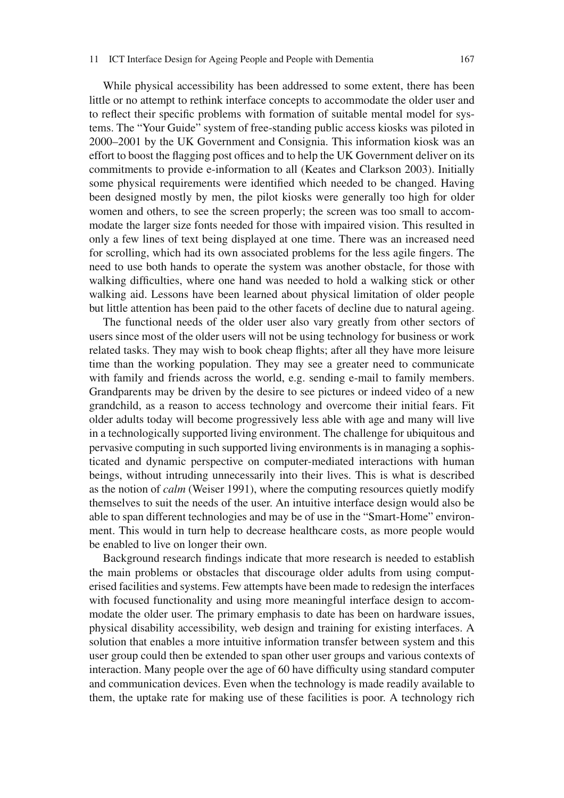#### 11 ICT Interface Design for Ageing People and People with Dementia 167

While physical accessibility has been addressed to some extent, there has been little or no attempt to rethink interface concepts to accommodate the older user and to reflect their specific problems with formation of suitable mental model for systems. The "Your Guide" system of free-standing public access kiosks was piloted in 2000–2001 by the UK Government and Consignia. This information kiosk was an effort to boost the flagging post offices and to help the UK Government deliver on its commitments to provide e-information to all (Keates and Clarkson 2003). Initially some physical requirements were identified which needed to be changed. Having been designed mostly by men, the pilot kiosks were generally too high for older women and others, to see the screen properly; the screen was too small to accommodate the larger size fonts needed for those with impaired vision. This resulted in only a few lines of text being displayed at one time. There was an increased need for scrolling, which had its own associated problems for the less agile fingers. The need to use both hands to operate the system was another obstacle, for those with walking difficulties, where one hand was needed to hold a walking stick or other walking aid. Lessons have been learned about physical limitation of older people but little attention has been paid to the other facets of decline due to natural ageing.

The functional needs of the older user also vary greatly from other sectors of users since most of the older users will not be using technology for business or work related tasks. They may wish to book cheap flights; after all they have more leisure time than the working population. They may see a greater need to communicate with family and friends across the world, e.g. sending e-mail to family members. Grandparents may be driven by the desire to see pictures or indeed video of a new grandchild, as a reason to access technology and overcome their initial fears. Fit older adults today will become progressively less able with age and many will live in a technologically supported living environment. The challenge for ubiquitous and pervasive computing in such supported living environments is in managing a sophisticated and dynamic perspective on computer-mediated interactions with human beings, without intruding unnecessarily into their lives. This is what is described as the notion of *calm* (Weiser 1991), where the computing resources quietly modify themselves to suit the needs of the user. An intuitive interface design would also be able to span different technologies and may be of use in the "Smart-Home" environment. This would in turn help to decrease healthcare costs, as more people would be enabled to live on longer their own.

Background research findings indicate that more research is needed to establish the main problems or obstacles that discourage older adults from using computerised facilities and systems. Few attempts have been made to redesign the interfaces with focused functionality and using more meaningful interface design to accommodate the older user. The primary emphasis to date has been on hardware issues, physical disability accessibility, web design and training for existing interfaces. A solution that enables a more intuitive information transfer between system and this user group could then be extended to span other user groups and various contexts of interaction. Many people over the age of 60 have difficulty using standard computer and communication devices. Even when the technology is made readily available to them, the uptake rate for making use of these facilities is poor. A technology rich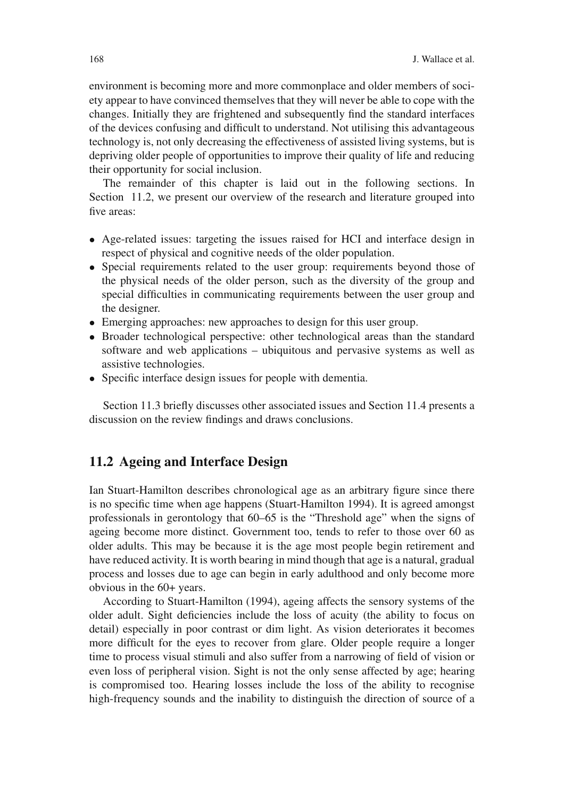environment is becoming more and more commonplace and older members of society appear to have convinced themselves that they will never be able to cope with the changes. Initially they are frightened and subsequently find the standard interfaces of the devices confusing and difficult to understand. Not utilising this advantageous technology is, not only decreasing the effectiveness of assisted living systems, but is depriving older people of opportunities to improve their quality of life and reducing their opportunity for social inclusion.

The remainder of this chapter is laid out in the following sections. In Section 11.2, we present our overview of the research and literature grouped into five areas:

- Age-related issues: targeting the issues raised for HCI and interface design in respect of physical and cognitive needs of the older population.
- Special requirements related to the user group: requirements beyond those of the physical needs of the older person, such as the diversity of the group and special difficulties in communicating requirements between the user group and the designer.
- Emerging approaches: new approaches to design for this user group.
- Broader technological perspective: other technological areas than the standard software and web applications – ubiquitous and pervasive systems as well as assistive technologies.
- Specific interface design issues for people with dementia.

Section 11.3 briefly discusses other associated issues and Section 11.4 presents a discussion on the review findings and draws conclusions.

## **11.2 Ageing and Interface Design**

Ian Stuart-Hamilton describes chronological age as an arbitrary figure since there is no specific time when age happens (Stuart-Hamilton 1994). It is agreed amongst professionals in gerontology that 60–65 is the "Threshold age" when the signs of ageing become more distinct. Government too, tends to refer to those over 60 as older adults. This may be because it is the age most people begin retirement and have reduced activity. It is worth bearing in mind though that age is a natural, gradual process and losses due to age can begin in early adulthood and only become more obvious in the 60+ years.

According to Stuart-Hamilton (1994), ageing affects the sensory systems of the older adult. Sight deficiencies include the loss of acuity (the ability to focus on detail) especially in poor contrast or dim light. As vision deteriorates it becomes more difficult for the eyes to recover from glare. Older people require a longer time to process visual stimuli and also suffer from a narrowing of field of vision or even loss of peripheral vision. Sight is not the only sense affected by age; hearing is compromised too. Hearing losses include the loss of the ability to recognise high-frequency sounds and the inability to distinguish the direction of source of a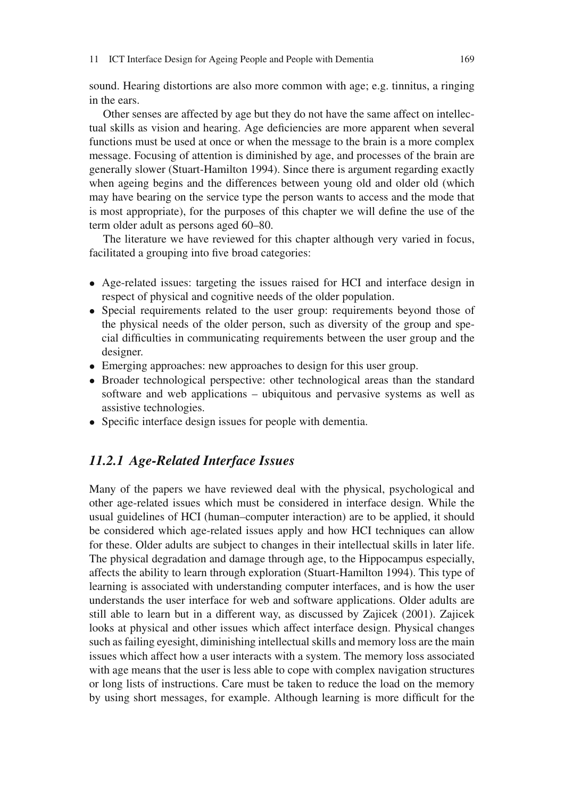sound. Hearing distortions are also more common with age; e.g. tinnitus, a ringing in the ears.

Other senses are affected by age but they do not have the same affect on intellectual skills as vision and hearing. Age deficiencies are more apparent when several functions must be used at once or when the message to the brain is a more complex message. Focusing of attention is diminished by age, and processes of the brain are generally slower (Stuart-Hamilton 1994). Since there is argument regarding exactly when ageing begins and the differences between young old and older old (which may have bearing on the service type the person wants to access and the mode that is most appropriate), for the purposes of this chapter we will define the use of the term older adult as persons aged 60–80.

The literature we have reviewed for this chapter although very varied in focus, facilitated a grouping into five broad categories:

- Age-related issues: targeting the issues raised for HCI and interface design in respect of physical and cognitive needs of the older population.
- Special requirements related to the user group: requirements beyond those of the physical needs of the older person, such as diversity of the group and special difficulties in communicating requirements between the user group and the designer.
- Emerging approaches: new approaches to design for this user group.
- Broader technological perspective: other technological areas than the standard software and web applications – ubiquitous and pervasive systems as well as assistive technologies.
- Specific interface design issues for people with dementia.

# *11.2.1 Age-Related Interface Issues*

Many of the papers we have reviewed deal with the physical, psychological and other age-related issues which must be considered in interface design. While the usual guidelines of HCI (human–computer interaction) are to be applied, it should be considered which age-related issues apply and how HCI techniques can allow for these. Older adults are subject to changes in their intellectual skills in later life. The physical degradation and damage through age, to the Hippocampus especially, affects the ability to learn through exploration (Stuart-Hamilton 1994). This type of learning is associated with understanding computer interfaces, and is how the user understands the user interface for web and software applications. Older adults are still able to learn but in a different way, as discussed by Zajicek (2001). Zajicek looks at physical and other issues which affect interface design. Physical changes such as failing eyesight, diminishing intellectual skills and memory loss are the main issues which affect how a user interacts with a system. The memory loss associated with age means that the user is less able to cope with complex navigation structures or long lists of instructions. Care must be taken to reduce the load on the memory by using short messages, for example. Although learning is more difficult for the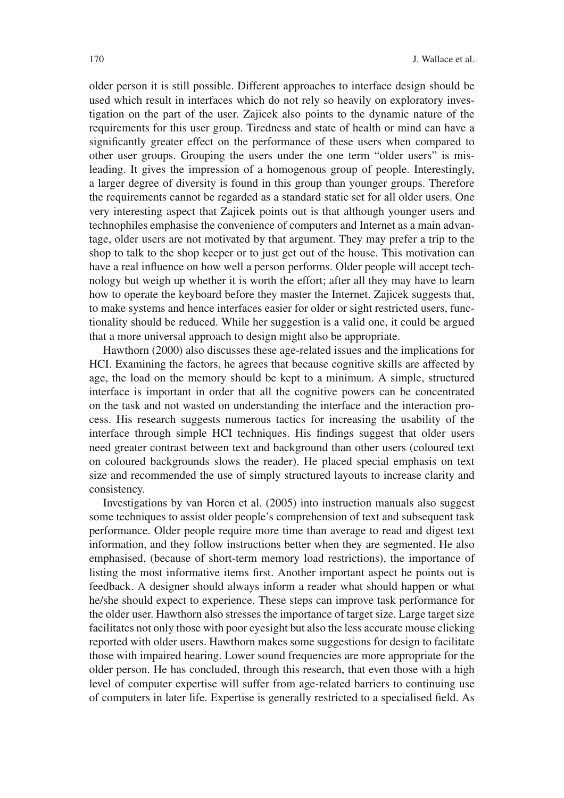older person it is still possible. Different approaches to interface design should be used which result in interfaces which do not rely so heavily on exploratory investigation on the part of the user. Zajicek also points to the dynamic nature of the requirements for this user group. Tiredness and state of health or mind can have a significantly greater effect on the performance of these users when compared to other user groups. Grouping the users under the one term "older users" is misleading. It gives the impression of a homogenous group of people. Interestingly, a larger degree of diversity is found in this group than younger groups. Therefore the requirements cannot be regarded as a standard static set for all older users. One very interesting aspect that Zajicek points out is that although younger users and technophiles emphasise the convenience of computers and Internet as a main advantage, older users are not motivated by that argument. They may prefer a trip to the shop to talk to the shop keeper or to just get out of the house. This motivation can have a real influence on how well a person performs. Older people will accept technology but weigh up whether it is worth the effort; after all they may have to learn how to operate the keyboard before they master the Internet. Zajicek suggests that, to make systems and hence interfaces easier for older or sight restricted users, functionality should be reduced. While her suggestion is a valid one, it could be argued that a more universal approach to design might also be appropriate.

Hawthorn (2000) also discusses these age-related issues and the implications for HCI. Examining the factors, he agrees that because cognitive skills are affected by age, the load on the memory should be kept to a minimum. A simple, structured interface is important in order that all the cognitive powers can be concentrated on the task and not wasted on understanding the interface and the interaction process. His research suggests numerous tactics for increasing the usability of the interface through simple HCI techniques. His findings suggest that older users need greater contrast between text and background than other users (coloured text on coloured backgrounds slows the reader). He placed special emphasis on text size and recommended the use of simply structured layouts to increase clarity and consistency.

Investigations by van Horen et al. (2005) into instruction manuals also suggest some techniques to assist older people's comprehension of text and subsequent task performance. Older people require more time than average to read and digest text information, and they follow instructions better when they are segmented. He also emphasised, (because of short-term memory load restrictions), the importance of listing the most informative items first. Another important aspect he points out is feedback. A designer should always inform a reader what should happen or what he/she should expect to experience. These steps can improve task performance for the older user. Hawthorn also stresses the importance of target size. Large target size facilitates not only those with poor eyesight but also the less accurate mouse clicking reported with older users. Hawthorn makes some suggestions for design to facilitate those with impaired hearing. Lower sound frequencies are more appropriate for the older person. He has concluded, through this research, that even those with a high level of computer expertise will suffer from age-related barriers to continuing use of computers in later life. Expertise is generally restricted to a specialised field. As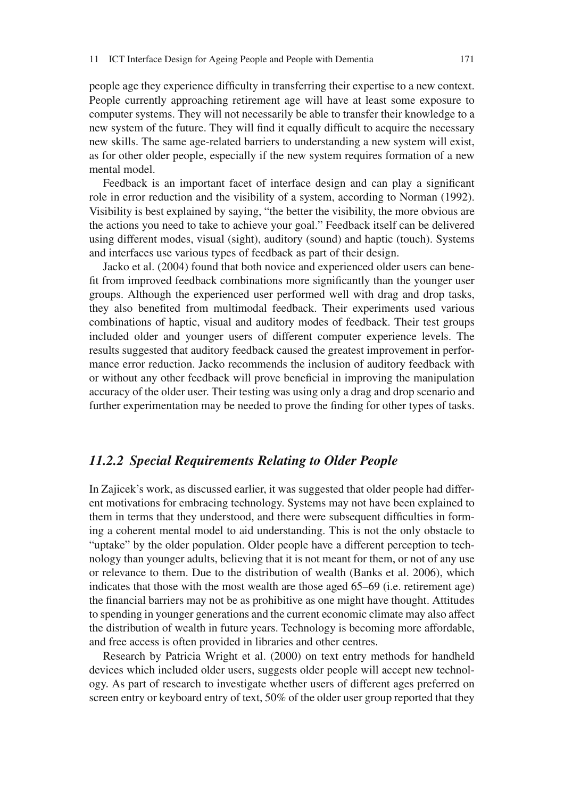people age they experience difficulty in transferring their expertise to a new context. People currently approaching retirement age will have at least some exposure to computer systems. They will not necessarily be able to transfer their knowledge to a new system of the future. They will find it equally difficult to acquire the necessary new skills. The same age-related barriers to understanding a new system will exist, as for other older people, especially if the new system requires formation of a new mental model.

Feedback is an important facet of interface design and can play a significant role in error reduction and the visibility of a system, according to Norman (1992). Visibility is best explained by saying, "the better the visibility, the more obvious are the actions you need to take to achieve your goal." Feedback itself can be delivered using different modes, visual (sight), auditory (sound) and haptic (touch). Systems and interfaces use various types of feedback as part of their design.

Jacko et al. (2004) found that both novice and experienced older users can benefit from improved feedback combinations more significantly than the younger user groups. Although the experienced user performed well with drag and drop tasks, they also benefited from multimodal feedback. Their experiments used various combinations of haptic, visual and auditory modes of feedback. Their test groups included older and younger users of different computer experience levels. The results suggested that auditory feedback caused the greatest improvement in performance error reduction. Jacko recommends the inclusion of auditory feedback with or without any other feedback will prove beneficial in improving the manipulation accuracy of the older user. Their testing was using only a drag and drop scenario and further experimentation may be needed to prove the finding for other types of tasks.

## *11.2.2 Special Requirements Relating to Older People*

In Zajicek's work, as discussed earlier, it was suggested that older people had different motivations for embracing technology. Systems may not have been explained to them in terms that they understood, and there were subsequent difficulties in forming a coherent mental model to aid understanding. This is not the only obstacle to "uptake" by the older population. Older people have a different perception to technology than younger adults, believing that it is not meant for them, or not of any use or relevance to them. Due to the distribution of wealth (Banks et al. 2006), which indicates that those with the most wealth are those aged 65–69 (i.e. retirement age) the financial barriers may not be as prohibitive as one might have thought. Attitudes to spending in younger generations and the current economic climate may also affect the distribution of wealth in future years. Technology is becoming more affordable, and free access is often provided in libraries and other centres.

Research by Patricia Wright et al. (2000) on text entry methods for handheld devices which included older users, suggests older people will accept new technology. As part of research to investigate whether users of different ages preferred on screen entry or keyboard entry of text, 50% of the older user group reported that they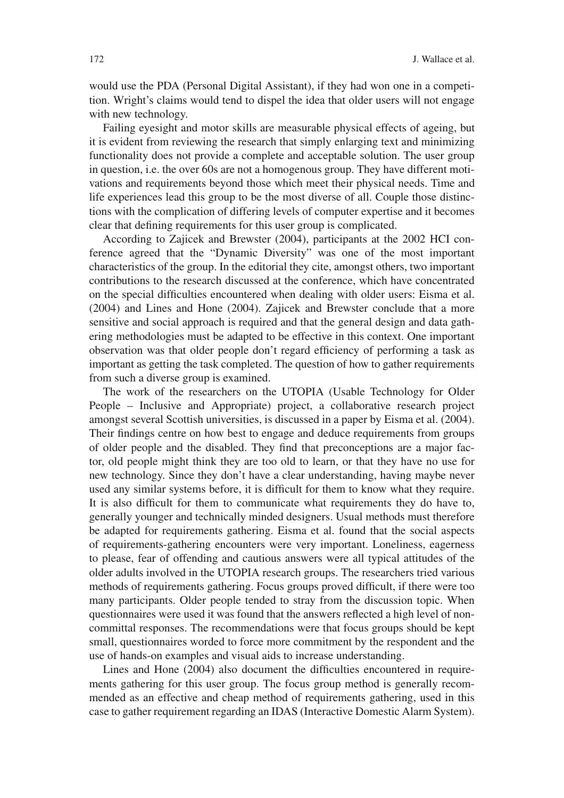would use the PDA (Personal Digital Assistant), if they had won one in a competition. Wright's claims would tend to dispel the idea that older users will not engage with new technology.

Failing eyesight and motor skills are measurable physical effects of ageing, but it is evident from reviewing the research that simply enlarging text and minimizing functionality does not provide a complete and acceptable solution. The user group in question, i.e. the over 60s are not a homogenous group. They have different motivations and requirements beyond those which meet their physical needs. Time and life experiences lead this group to be the most diverse of all. Couple those distinctions with the complication of differing levels of computer expertise and it becomes clear that defining requirements for this user group is complicated.

According to Zajicek and Brewster (2004), participants at the 2002 HCI conference agreed that the "Dynamic Diversity" was one of the most important characteristics of the group. In the editorial they cite, amongst others, two important contributions to the research discussed at the conference, which have concentrated on the special difficulties encountered when dealing with older users: Eisma et al. (2004) and Lines and Hone (2004). Zajicek and Brewster conclude that a more sensitive and social approach is required and that the general design and data gathering methodologies must be adapted to be effective in this context. One important observation was that older people don't regard efficiency of performing a task as important as getting the task completed. The question of how to gather requirements from such a diverse group is examined.

The work of the researchers on the UTOPIA (Usable Technology for Older People – Inclusive and Appropriate) project, a collaborative research project amongst several Scottish universities, is discussed in a paper by Eisma et al. (2004). Their findings centre on how best to engage and deduce requirements from groups of older people and the disabled. They find that preconceptions are a major factor, old people might think they are too old to learn, or that they have no use for new technology. Since they don't have a clear understanding, having maybe never used any similar systems before, it is difficult for them to know what they require. It is also difficult for them to communicate what requirements they do have to, generally younger and technically minded designers. Usual methods must therefore be adapted for requirements gathering. Eisma et al. found that the social aspects of requirements-gathering encounters were very important. Loneliness, eagerness to please, fear of offending and cautious answers were all typical attitudes of the older adults involved in the UTOPIA research groups. The researchers tried various methods of requirements gathering. Focus groups proved difficult, if there were too many participants. Older people tended to stray from the discussion topic. When questionnaires were used it was found that the answers reflected a high level of noncommittal responses. The recommendations were that focus groups should be kept small, questionnaires worded to force more commitment by the respondent and the use of hands-on examples and visual aids to increase understanding.

Lines and Hone (2004) also document the difficulties encountered in requirements gathering for this user group. The focus group method is generally recommended as an effective and cheap method of requirements gathering, used in this case to gather requirement regarding an IDAS (Interactive Domestic Alarm System).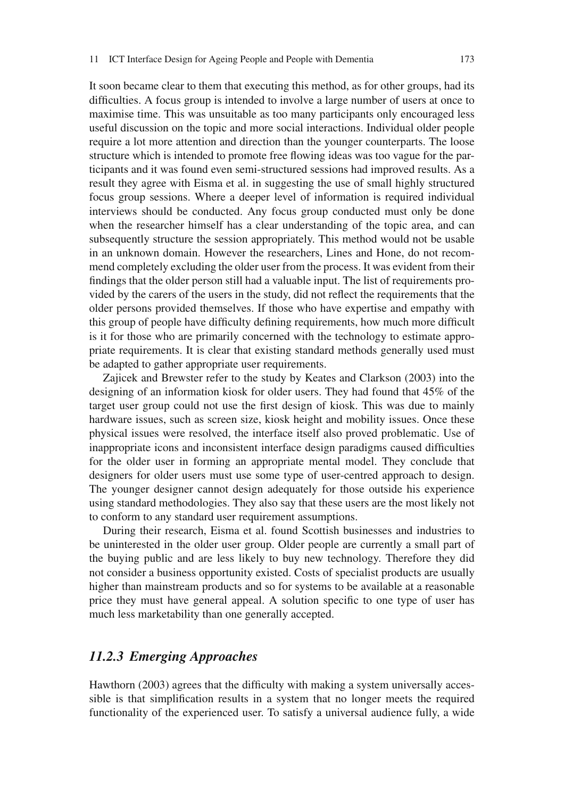It soon became clear to them that executing this method, as for other groups, had its difficulties. A focus group is intended to involve a large number of users at once to maximise time. This was unsuitable as too many participants only encouraged less useful discussion on the topic and more social interactions. Individual older people require a lot more attention and direction than the younger counterparts. The loose structure which is intended to promote free flowing ideas was too vague for the participants and it was found even semi-structured sessions had improved results. As a result they agree with Eisma et al. in suggesting the use of small highly structured focus group sessions. Where a deeper level of information is required individual interviews should be conducted. Any focus group conducted must only be done when the researcher himself has a clear understanding of the topic area, and can subsequently structure the session appropriately. This method would not be usable in an unknown domain. However the researchers, Lines and Hone, do not recommend completely excluding the older user from the process. It was evident from their findings that the older person still had a valuable input. The list of requirements provided by the carers of the users in the study, did not reflect the requirements that the older persons provided themselves. If those who have expertise and empathy with this group of people have difficulty defining requirements, how much more difficult is it for those who are primarily concerned with the technology to estimate appropriate requirements. It is clear that existing standard methods generally used must be adapted to gather appropriate user requirements.

Zajicek and Brewster refer to the study by Keates and Clarkson (2003) into the designing of an information kiosk for older users. They had found that 45% of the target user group could not use the first design of kiosk. This was due to mainly hardware issues, such as screen size, kiosk height and mobility issues. Once these physical issues were resolved, the interface itself also proved problematic. Use of inappropriate icons and inconsistent interface design paradigms caused difficulties for the older user in forming an appropriate mental model. They conclude that designers for older users must use some type of user-centred approach to design. The younger designer cannot design adequately for those outside his experience using standard methodologies. They also say that these users are the most likely not to conform to any standard user requirement assumptions.

During their research, Eisma et al. found Scottish businesses and industries to be uninterested in the older user group. Older people are currently a small part of the buying public and are less likely to buy new technology. Therefore they did not consider a business opportunity existed. Costs of specialist products are usually higher than mainstream products and so for systems to be available at a reasonable price they must have general appeal. A solution specific to one type of user has much less marketability than one generally accepted.

#### *11.2.3 Emerging Approaches*

Hawthorn (2003) agrees that the difficulty with making a system universally accessible is that simplification results in a system that no longer meets the required functionality of the experienced user. To satisfy a universal audience fully, a wide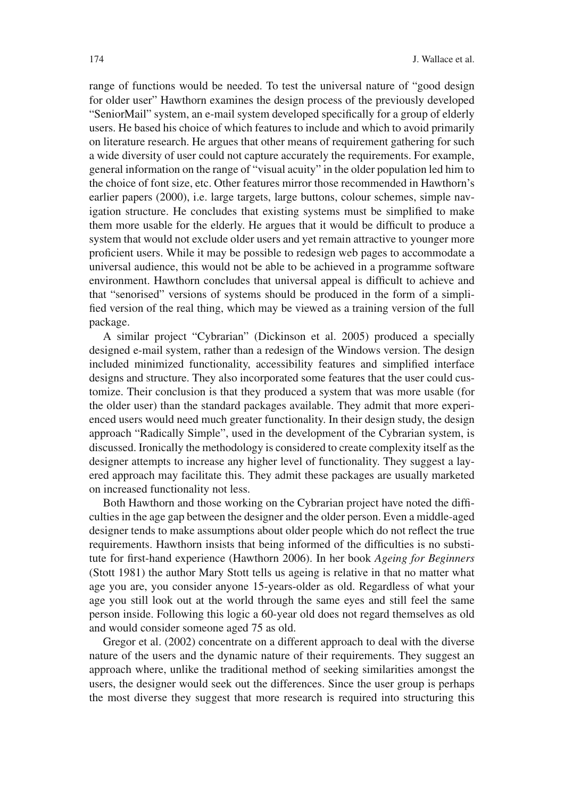range of functions would be needed. To test the universal nature of "good design for older user" Hawthorn examines the design process of the previously developed "SeniorMail" system, an e-mail system developed specifically for a group of elderly users. He based his choice of which features to include and which to avoid primarily on literature research. He argues that other means of requirement gathering for such a wide diversity of user could not capture accurately the requirements. For example, general information on the range of "visual acuity" in the older population led him to the choice of font size, etc. Other features mirror those recommended in Hawthorn's earlier papers (2000), i.e. large targets, large buttons, colour schemes, simple navigation structure. He concludes that existing systems must be simplified to make them more usable for the elderly. He argues that it would be difficult to produce a system that would not exclude older users and yet remain attractive to younger more proficient users. While it may be possible to redesign web pages to accommodate a universal audience, this would not be able to be achieved in a programme software environment. Hawthorn concludes that universal appeal is difficult to achieve and that "senorised" versions of systems should be produced in the form of a simplified version of the real thing, which may be viewed as a training version of the full package.

A similar project "Cybrarian" (Dickinson et al. 2005) produced a specially designed e-mail system, rather than a redesign of the Windows version. The design included minimized functionality, accessibility features and simplified interface designs and structure. They also incorporated some features that the user could customize. Their conclusion is that they produced a system that was more usable (for the older user) than the standard packages available. They admit that more experienced users would need much greater functionality. In their design study, the design approach "Radically Simple", used in the development of the Cybrarian system, is discussed. Ironically the methodology is considered to create complexity itself as the designer attempts to increase any higher level of functionality. They suggest a layered approach may facilitate this. They admit these packages are usually marketed on increased functionality not less.

Both Hawthorn and those working on the Cybrarian project have noted the difficulties in the age gap between the designer and the older person. Even a middle-aged designer tends to make assumptions about older people which do not reflect the true requirements. Hawthorn insists that being informed of the difficulties is no substitute for first-hand experience (Hawthorn 2006). In her book *Ageing for Beginners* (Stott 1981) the author Mary Stott tells us ageing is relative in that no matter what age you are, you consider anyone 15-years-older as old. Regardless of what your age you still look out at the world through the same eyes and still feel the same person inside. Following this logic a 60-year old does not regard themselves as old and would consider someone aged 75 as old.

Gregor et al. (2002) concentrate on a different approach to deal with the diverse nature of the users and the dynamic nature of their requirements. They suggest an approach where, unlike the traditional method of seeking similarities amongst the users, the designer would seek out the differences. Since the user group is perhaps the most diverse they suggest that more research is required into structuring this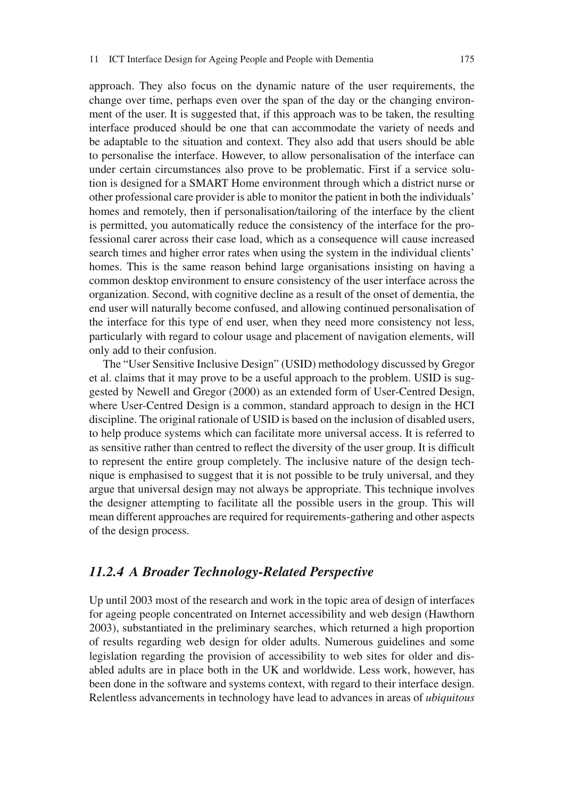approach. They also focus on the dynamic nature of the user requirements, the change over time, perhaps even over the span of the day or the changing environment of the user. It is suggested that, if this approach was to be taken, the resulting interface produced should be one that can accommodate the variety of needs and be adaptable to the situation and context. They also add that users should be able to personalise the interface. However, to allow personalisation of the interface can under certain circumstances also prove to be problematic. First if a service solution is designed for a SMART Home environment through which a district nurse or other professional care provider is able to monitor the patient in both the individuals' homes and remotely, then if personalisation/tailoring of the interface by the client is permitted, you automatically reduce the consistency of the interface for the professional carer across their case load, which as a consequence will cause increased search times and higher error rates when using the system in the individual clients' homes. This is the same reason behind large organisations insisting on having a common desktop environment to ensure consistency of the user interface across the organization. Second, with cognitive decline as a result of the onset of dementia, the end user will naturally become confused, and allowing continued personalisation of the interface for this type of end user, when they need more consistency not less, particularly with regard to colour usage and placement of navigation elements, will only add to their confusion.

The "User Sensitive Inclusive Design" (USID) methodology discussed by Gregor et al. claims that it may prove to be a useful approach to the problem. USID is suggested by Newell and Gregor (2000) as an extended form of User-Centred Design, where User-Centred Design is a common, standard approach to design in the HCI discipline. The original rationale of USID is based on the inclusion of disabled users, to help produce systems which can facilitate more universal access. It is referred to as sensitive rather than centred to reflect the diversity of the user group. It is difficult to represent the entire group completely. The inclusive nature of the design technique is emphasised to suggest that it is not possible to be truly universal, and they argue that universal design may not always be appropriate. This technique involves the designer attempting to facilitate all the possible users in the group. This will mean different approaches are required for requirements-gathering and other aspects of the design process.

#### *11.2.4 A Broader Technology-Related Perspective*

Up until 2003 most of the research and work in the topic area of design of interfaces for ageing people concentrated on Internet accessibility and web design (Hawthorn 2003), substantiated in the preliminary searches, which returned a high proportion of results regarding web design for older adults. Numerous guidelines and some legislation regarding the provision of accessibility to web sites for older and disabled adults are in place both in the UK and worldwide. Less work, however, has been done in the software and systems context, with regard to their interface design. Relentless advancements in technology have lead to advances in areas of *ubiquitous*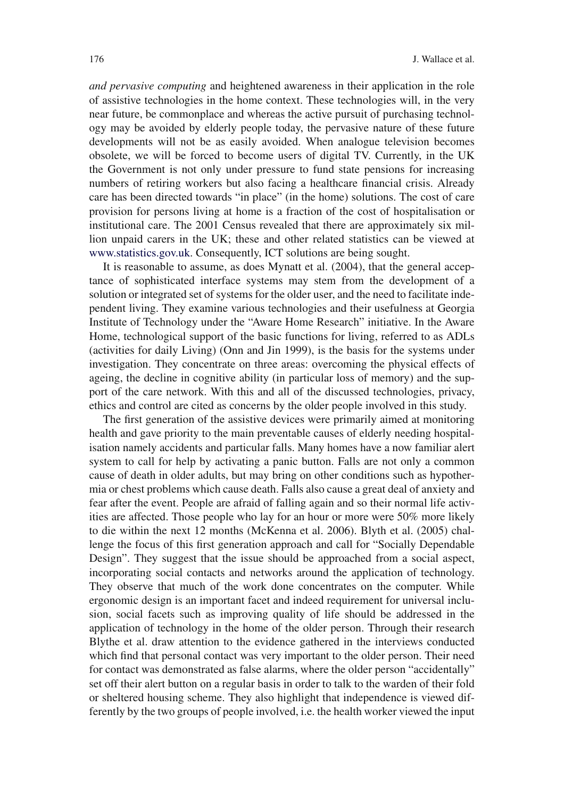*and pervasive computing* and heightened awareness in their application in the role of assistive technologies in the home context. These technologies will, in the very near future, be commonplace and whereas the active pursuit of purchasing technology may be avoided by elderly people today, the pervasive nature of these future developments will not be as easily avoided. When analogue television becomes obsolete, we will be forced to become users of digital TV. Currently, in the UK the Government is not only under pressure to fund state pensions for increasing numbers of retiring workers but also facing a healthcare financial crisis. Already care has been directed towards "in place" (in the home) solutions. The cost of care provision for persons living at home is a fraction of the cost of hospitalisation or institutional care. The 2001 Census revealed that there are approximately six million unpaid carers in the UK; these and other related statistics can be viewed at www.statistics.gov.uk. Consequently, ICT solutions are being sought.

It is reasonable to assume, as does Mynatt et al. (2004), that the general acceptance of sophisticated interface systems may stem from the development of a solution or integrated set of systems for the older user, and the need to facilitate independent living. They examine various technologies and their usefulness at Georgia Institute of Technology under the "Aware Home Research" initiative. In the Aware Home, technological support of the basic functions for living, referred to as ADLs (activities for daily Living) (Onn and Jin 1999), is the basis for the systems under investigation. They concentrate on three areas: overcoming the physical effects of ageing, the decline in cognitive ability (in particular loss of memory) and the support of the care network. With this and all of the discussed technologies, privacy, ethics and control are cited as concerns by the older people involved in this study.

The first generation of the assistive devices were primarily aimed at monitoring health and gave priority to the main preventable causes of elderly needing hospitalisation namely accidents and particular falls. Many homes have a now familiar alert system to call for help by activating a panic button. Falls are not only a common cause of death in older adults, but may bring on other conditions such as hypothermia or chest problems which cause death. Falls also cause a great deal of anxiety and fear after the event. People are afraid of falling again and so their normal life activities are affected. Those people who lay for an hour or more were 50% more likely to die within the next 12 months (McKenna et al. 2006). Blyth et al. (2005) challenge the focus of this first generation approach and call for "Socially Dependable Design". They suggest that the issue should be approached from a social aspect, incorporating social contacts and networks around the application of technology. They observe that much of the work done concentrates on the computer. While ergonomic design is an important facet and indeed requirement for universal inclusion, social facets such as improving quality of life should be addressed in the application of technology in the home of the older person. Through their research Blythe et al. draw attention to the evidence gathered in the interviews conducted which find that personal contact was very important to the older person. Their need for contact was demonstrated as false alarms, where the older person "accidentally" set off their alert button on a regular basis in order to talk to the warden of their fold or sheltered housing scheme. They also highlight that independence is viewed differently by the two groups of people involved, i.e. the health worker viewed the input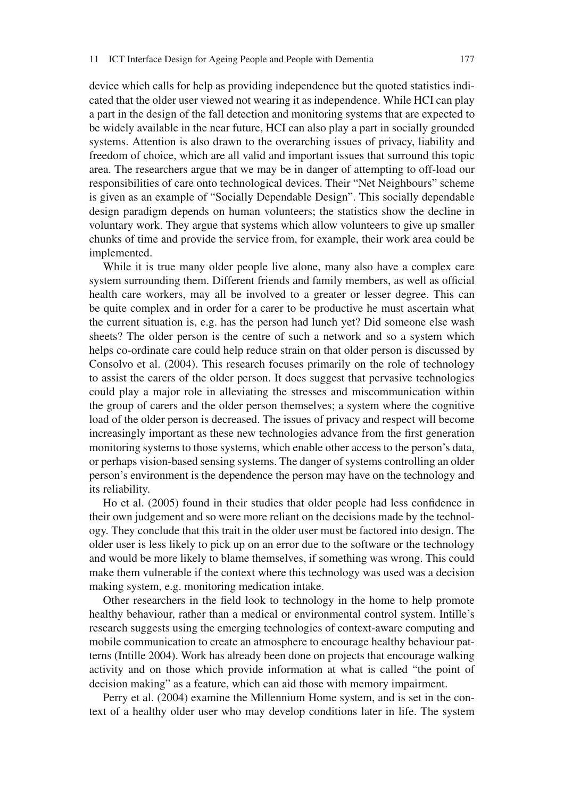device which calls for help as providing independence but the quoted statistics indicated that the older user viewed not wearing it as independence. While HCI can play a part in the design of the fall detection and monitoring systems that are expected to be widely available in the near future, HCI can also play a part in socially grounded systems. Attention is also drawn to the overarching issues of privacy, liability and freedom of choice, which are all valid and important issues that surround this topic area. The researchers argue that we may be in danger of attempting to off-load our responsibilities of care onto technological devices. Their "Net Neighbours" scheme is given as an example of "Socially Dependable Design". This socially dependable design paradigm depends on human volunteers; the statistics show the decline in voluntary work. They argue that systems which allow volunteers to give up smaller chunks of time and provide the service from, for example, their work area could be implemented.

While it is true many older people live alone, many also have a complex care system surrounding them. Different friends and family members, as well as official health care workers, may all be involved to a greater or lesser degree. This can be quite complex and in order for a carer to be productive he must ascertain what the current situation is, e.g. has the person had lunch yet? Did someone else wash sheets? The older person is the centre of such a network and so a system which helps co-ordinate care could help reduce strain on that older person is discussed by Consolvo et al. (2004). This research focuses primarily on the role of technology to assist the carers of the older person. It does suggest that pervasive technologies could play a major role in alleviating the stresses and miscommunication within the group of carers and the older person themselves; a system where the cognitive load of the older person is decreased. The issues of privacy and respect will become increasingly important as these new technologies advance from the first generation monitoring systems to those systems, which enable other access to the person's data, or perhaps vision-based sensing systems. The danger of systems controlling an older person's environment is the dependence the person may have on the technology and its reliability.

Ho et al. (2005) found in their studies that older people had less confidence in their own judgement and so were more reliant on the decisions made by the technology. They conclude that this trait in the older user must be factored into design. The older user is less likely to pick up on an error due to the software or the technology and would be more likely to blame themselves, if something was wrong. This could make them vulnerable if the context where this technology was used was a decision making system, e.g. monitoring medication intake.

Other researchers in the field look to technology in the home to help promote healthy behaviour, rather than a medical or environmental control system. Intille's research suggests using the emerging technologies of context-aware computing and mobile communication to create an atmosphere to encourage healthy behaviour patterns (Intille 2004). Work has already been done on projects that encourage walking activity and on those which provide information at what is called "the point of decision making" as a feature, which can aid those with memory impairment.

Perry et al. (2004) examine the Millennium Home system, and is set in the context of a healthy older user who may develop conditions later in life. The system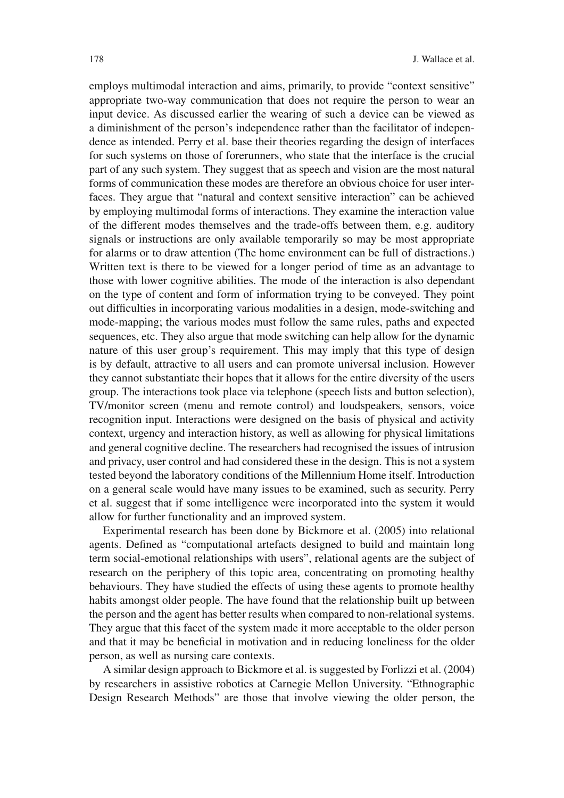employs multimodal interaction and aims, primarily, to provide "context sensitive" appropriate two-way communication that does not require the person to wear an input device. As discussed earlier the wearing of such a device can be viewed as a diminishment of the person's independence rather than the facilitator of independence as intended. Perry et al. base their theories regarding the design of interfaces for such systems on those of forerunners, who state that the interface is the crucial part of any such system. They suggest that as speech and vision are the most natural forms of communication these modes are therefore an obvious choice for user interfaces. They argue that "natural and context sensitive interaction" can be achieved by employing multimodal forms of interactions. They examine the interaction value of the different modes themselves and the trade-offs between them, e.g. auditory signals or instructions are only available temporarily so may be most appropriate for alarms or to draw attention (The home environment can be full of distractions.) Written text is there to be viewed for a longer period of time as an advantage to those with lower cognitive abilities. The mode of the interaction is also dependant on the type of content and form of information trying to be conveyed. They point out difficulties in incorporating various modalities in a design, mode-switching and mode-mapping; the various modes must follow the same rules, paths and expected sequences, etc. They also argue that mode switching can help allow for the dynamic nature of this user group's requirement. This may imply that this type of design is by default, attractive to all users and can promote universal inclusion. However they cannot substantiate their hopes that it allows for the entire diversity of the users group. The interactions took place via telephone (speech lists and button selection), TV/monitor screen (menu and remote control) and loudspeakers, sensors, voice recognition input. Interactions were designed on the basis of physical and activity context, urgency and interaction history, as well as allowing for physical limitations and general cognitive decline. The researchers had recognised the issues of intrusion and privacy, user control and had considered these in the design. This is not a system tested beyond the laboratory conditions of the Millennium Home itself. Introduction on a general scale would have many issues to be examined, such as security. Perry et al. suggest that if some intelligence were incorporated into the system it would allow for further functionality and an improved system.

Experimental research has been done by Bickmore et al. (2005) into relational agents. Defined as "computational artefacts designed to build and maintain long term social-emotional relationships with users", relational agents are the subject of research on the periphery of this topic area, concentrating on promoting healthy behaviours. They have studied the effects of using these agents to promote healthy habits amongst older people. The have found that the relationship built up between the person and the agent has better results when compared to non-relational systems. They argue that this facet of the system made it more acceptable to the older person and that it may be beneficial in motivation and in reducing loneliness for the older person, as well as nursing care contexts.

A similar design approach to Bickmore et al. is suggested by Forlizzi et al. (2004) by researchers in assistive robotics at Carnegie Mellon University. "Ethnographic Design Research Methods" are those that involve viewing the older person, the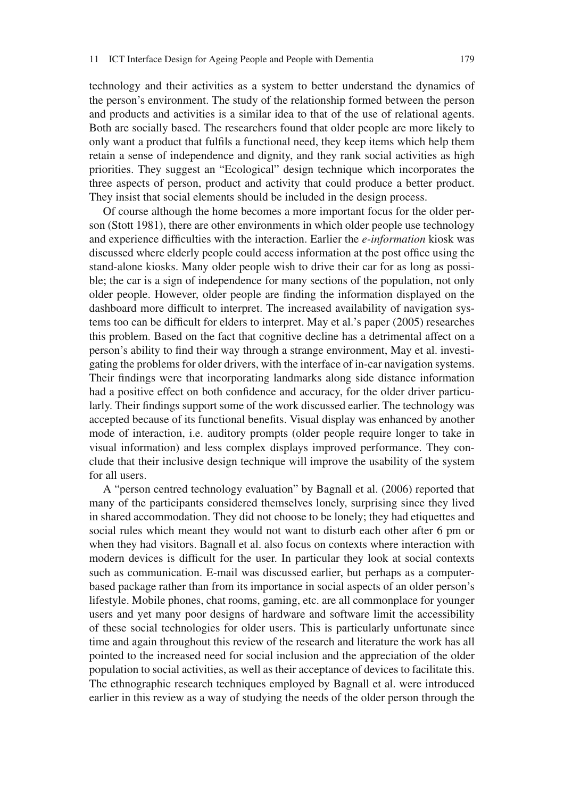technology and their activities as a system to better understand the dynamics of the person's environment. The study of the relationship formed between the person and products and activities is a similar idea to that of the use of relational agents. Both are socially based. The researchers found that older people are more likely to only want a product that fulfils a functional need, they keep items which help them retain a sense of independence and dignity, and they rank social activities as high priorities. They suggest an "Ecological" design technique which incorporates the three aspects of person, product and activity that could produce a better product. They insist that social elements should be included in the design process.

Of course although the home becomes a more important focus for the older person (Stott 1981), there are other environments in which older people use technology and experience difficulties with the interaction. Earlier the *e-information* kiosk was discussed where elderly people could access information at the post office using the stand-alone kiosks. Many older people wish to drive their car for as long as possible; the car is a sign of independence for many sections of the population, not only older people. However, older people are finding the information displayed on the dashboard more difficult to interpret. The increased availability of navigation systems too can be difficult for elders to interpret. May et al.'s paper (2005) researches this problem. Based on the fact that cognitive decline has a detrimental affect on a person's ability to find their way through a strange environment, May et al. investigating the problems for older drivers, with the interface of in-car navigation systems. Their findings were that incorporating landmarks along side distance information had a positive effect on both confidence and accuracy, for the older driver particularly. Their findings support some of the work discussed earlier. The technology was accepted because of its functional benefits. Visual display was enhanced by another mode of interaction, i.e. auditory prompts (older people require longer to take in visual information) and less complex displays improved performance. They conclude that their inclusive design technique will improve the usability of the system for all users.

A "person centred technology evaluation" by Bagnall et al. (2006) reported that many of the participants considered themselves lonely, surprising since they lived in shared accommodation. They did not choose to be lonely; they had etiquettes and social rules which meant they would not want to disturb each other after 6 pm or when they had visitors. Bagnall et al. also focus on contexts where interaction with modern devices is difficult for the user. In particular they look at social contexts such as communication. E-mail was discussed earlier, but perhaps as a computerbased package rather than from its importance in social aspects of an older person's lifestyle. Mobile phones, chat rooms, gaming, etc. are all commonplace for younger users and yet many poor designs of hardware and software limit the accessibility of these social technologies for older users. This is particularly unfortunate since time and again throughout this review of the research and literature the work has all pointed to the increased need for social inclusion and the appreciation of the older population to social activities, as well as their acceptance of devices to facilitate this. The ethnographic research techniques employed by Bagnall et al. were introduced earlier in this review as a way of studying the needs of the older person through the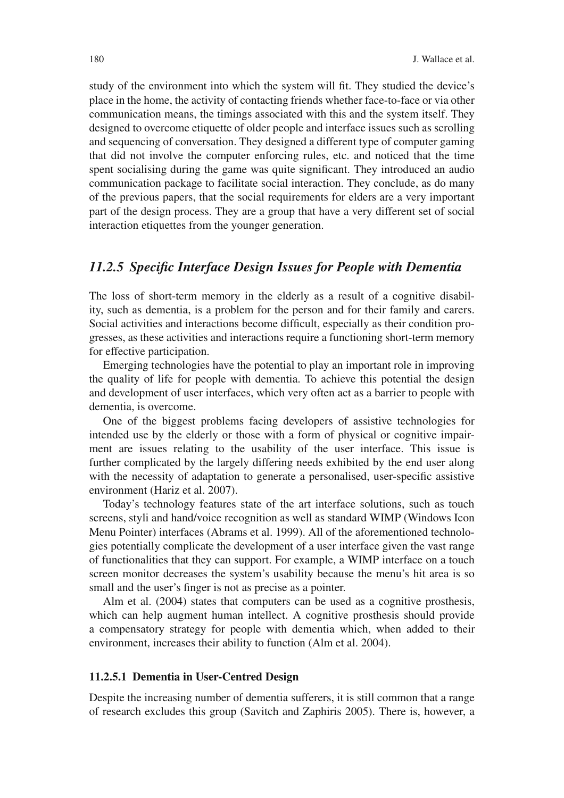study of the environment into which the system will fit. They studied the device's place in the home, the activity of contacting friends whether face-to-face or via other communication means, the timings associated with this and the system itself. They designed to overcome etiquette of older people and interface issues such as scrolling and sequencing of conversation. They designed a different type of computer gaming that did not involve the computer enforcing rules, etc. and noticed that the time spent socialising during the game was quite significant. They introduced an audio communication package to facilitate social interaction. They conclude, as do many of the previous papers, that the social requirements for elders are a very important part of the design process. They are a group that have a very different set of social interaction etiquettes from the younger generation.

#### *11.2.5 Specific Interface Design Issues for People with Dementia*

The loss of short-term memory in the elderly as a result of a cognitive disability, such as dementia, is a problem for the person and for their family and carers. Social activities and interactions become difficult, especially as their condition progresses, as these activities and interactions require a functioning short-term memory for effective participation.

Emerging technologies have the potential to play an important role in improving the quality of life for people with dementia. To achieve this potential the design and development of user interfaces, which very often act as a barrier to people with dementia, is overcome.

One of the biggest problems facing developers of assistive technologies for intended use by the elderly or those with a form of physical or cognitive impairment are issues relating to the usability of the user interface. This issue is further complicated by the largely differing needs exhibited by the end user along with the necessity of adaptation to generate a personalised, user-specific assistive environment (Hariz et al. 2007).

Today's technology features state of the art interface solutions, such as touch screens, styli and hand/voice recognition as well as standard WIMP (Windows Icon Menu Pointer) interfaces (Abrams et al. 1999). All of the aforementioned technologies potentially complicate the development of a user interface given the vast range of functionalities that they can support. For example, a WIMP interface on a touch screen monitor decreases the system's usability because the menu's hit area is so small and the user's finger is not as precise as a pointer.

Alm et al. (2004) states that computers can be used as a cognitive prosthesis, which can help augment human intellect. A cognitive prosthesis should provide a compensatory strategy for people with dementia which, when added to their environment, increases their ability to function (Alm et al. 2004).

#### **11.2.5.1 Dementia in User-Centred Design**

Despite the increasing number of dementia sufferers, it is still common that a range of research excludes this group (Savitch and Zaphiris 2005). There is, however, a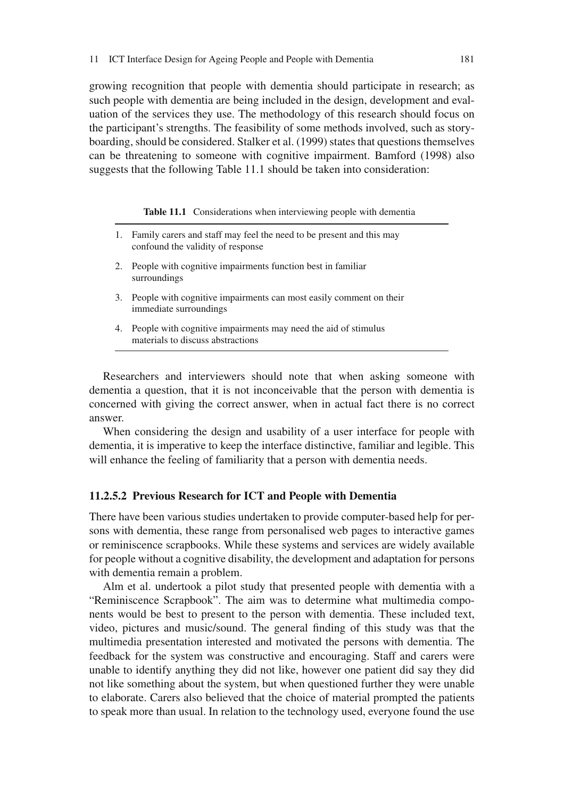growing recognition that people with dementia should participate in research; as such people with dementia are being included in the design, development and evaluation of the services they use. The methodology of this research should focus on the participant's strengths. The feasibility of some methods involved, such as storyboarding, should be considered. Stalker et al. (1999) states that questions themselves can be threatening to someone with cognitive impairment. Bamford (1998) also suggests that the following Table 11.1 should be taken into consideration:

Table 11.1 Considerations when interviewing people with dementia

- 1. Family carers and staff may feel the need to be present and this may confound the validity of response
- 2. People with cognitive impairments function best in familiar surroundings
- 3. People with cognitive impairments can most easily comment on their immediate surroundings
- 4. People with cognitive impairments may need the aid of stimulus materials to discuss abstractions

Researchers and interviewers should note that when asking someone with dementia a question, that it is not inconceivable that the person with dementia is concerned with giving the correct answer, when in actual fact there is no correct answer.

When considering the design and usability of a user interface for people with dementia, it is imperative to keep the interface distinctive, familiar and legible. This will enhance the feeling of familiarity that a person with dementia needs.

#### **11.2.5.2 Previous Research for ICT and People with Dementia**

There have been various studies undertaken to provide computer-based help for persons with dementia, these range from personalised web pages to interactive games or reminiscence scrapbooks. While these systems and services are widely available for people without a cognitive disability, the development and adaptation for persons with dementia remain a problem.

Alm et al. undertook a pilot study that presented people with dementia with a "Reminiscence Scrapbook". The aim was to determine what multimedia components would be best to present to the person with dementia. These included text, video, pictures and music/sound. The general finding of this study was that the multimedia presentation interested and motivated the persons with dementia. The feedback for the system was constructive and encouraging. Staff and carers were unable to identify anything they did not like, however one patient did say they did not like something about the system, but when questioned further they were unable to elaborate. Carers also believed that the choice of material prompted the patients to speak more than usual. In relation to the technology used, everyone found the use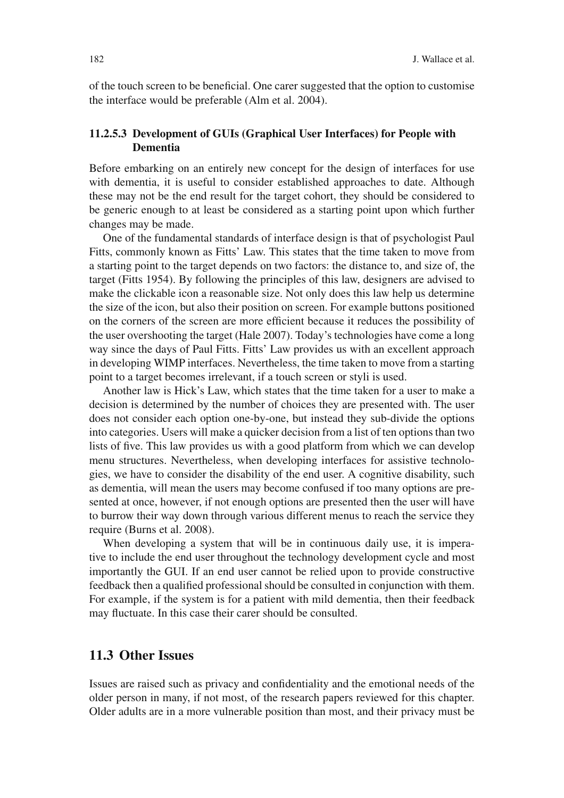of the touch screen to be beneficial. One carer suggested that the option to customise the interface would be preferable (Alm et al. 2004).

#### **11.2.5.3 Development of GUIs (Graphical User Interfaces) for People with Dementia**

Before embarking on an entirely new concept for the design of interfaces for use with dementia, it is useful to consider established approaches to date. Although these may not be the end result for the target cohort, they should be considered to be generic enough to at least be considered as a starting point upon which further changes may be made.

One of the fundamental standards of interface design is that of psychologist Paul Fitts, commonly known as Fitts' Law. This states that the time taken to move from a starting point to the target depends on two factors: the distance to, and size of, the target (Fitts 1954). By following the principles of this law, designers are advised to make the clickable icon a reasonable size. Not only does this law help us determine the size of the icon, but also their position on screen. For example buttons positioned on the corners of the screen are more efficient because it reduces the possibility of the user overshooting the target (Hale 2007). Today's technologies have come a long way since the days of Paul Fitts. Fitts' Law provides us with an excellent approach in developing WIMP interfaces. Nevertheless, the time taken to move from a starting point to a target becomes irrelevant, if a touch screen or styli is used.

Another law is Hick's Law, which states that the time taken for a user to make a decision is determined by the number of choices they are presented with. The user does not consider each option one-by-one, but instead they sub-divide the options into categories. Users will make a quicker decision from a list of ten options than two lists of five. This law provides us with a good platform from which we can develop menu structures. Nevertheless, when developing interfaces for assistive technologies, we have to consider the disability of the end user. A cognitive disability, such as dementia, will mean the users may become confused if too many options are presented at once, however, if not enough options are presented then the user will have to burrow their way down through various different menus to reach the service they require (Burns et al. 2008).

When developing a system that will be in continuous daily use, it is imperative to include the end user throughout the technology development cycle and most importantly the GUI. If an end user cannot be relied upon to provide constructive feedback then a qualified professional should be consulted in conjunction with them. For example, if the system is for a patient with mild dementia, then their feedback may fluctuate. In this case their carer should be consulted.

#### **11.3 Other Issues**

Issues are raised such as privacy and confidentiality and the emotional needs of the older person in many, if not most, of the research papers reviewed for this chapter. Older adults are in a more vulnerable position than most, and their privacy must be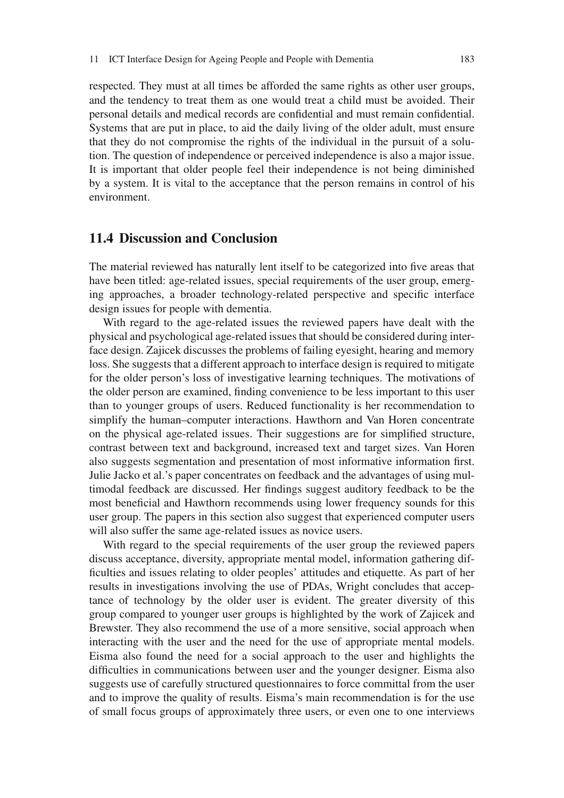respected. They must at all times be afforded the same rights as other user groups, and the tendency to treat them as one would treat a child must be avoided. Their personal details and medical records are confidential and must remain confidential. Systems that are put in place, to aid the daily living of the older adult, must ensure that they do not compromise the rights of the individual in the pursuit of a solution. The question of independence or perceived independence is also a major issue. It is important that older people feel their independence is not being diminished by a system. It is vital to the acceptance that the person remains in control of his environment.

#### **11.4 Discussion and Conclusion**

The material reviewed has naturally lent itself to be categorized into five areas that have been titled: age-related issues, special requirements of the user group, emerging approaches, a broader technology-related perspective and specific interface design issues for people with dementia.

With regard to the age-related issues the reviewed papers have dealt with the physical and psychological age-related issues that should be considered during interface design. Zajicek discusses the problems of failing eyesight, hearing and memory loss. She suggests that a different approach to interface design is required to mitigate for the older person's loss of investigative learning techniques. The motivations of the older person are examined, finding convenience to be less important to this user than to younger groups of users. Reduced functionality is her recommendation to simplify the human–computer interactions. Hawthorn and Van Horen concentrate on the physical age-related issues. Their suggestions are for simplified structure, contrast between text and background, increased text and target sizes. Van Horen also suggests segmentation and presentation of most informative information first. Julie Jacko et al.'s paper concentrates on feedback and the advantages of using multimodal feedback are discussed. Her findings suggest auditory feedback to be the most beneficial and Hawthorn recommends using lower frequency sounds for this user group. The papers in this section also suggest that experienced computer users will also suffer the same age-related issues as novice users.

With regard to the special requirements of the user group the reviewed papers discuss acceptance, diversity, appropriate mental model, information gathering difficulties and issues relating to older peoples' attitudes and etiquette. As part of her results in investigations involving the use of PDAs, Wright concludes that acceptance of technology by the older user is evident. The greater diversity of this group compared to younger user groups is highlighted by the work of Zajicek and Brewster. They also recommend the use of a more sensitive, social approach when interacting with the user and the need for the use of appropriate mental models. Eisma also found the need for a social approach to the user and highlights the difficulties in communications between user and the younger designer. Eisma also suggests use of carefully structured questionnaires to force committal from the user and to improve the quality of results. Eisma's main recommendation is for the use of small focus groups of approximately three users, or even one to one interviews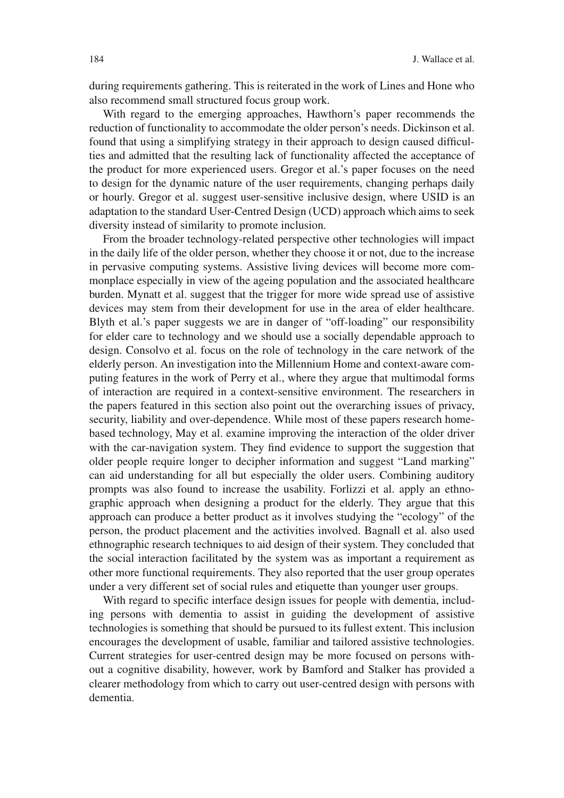during requirements gathering. This is reiterated in the work of Lines and Hone who also recommend small structured focus group work.

With regard to the emerging approaches, Hawthorn's paper recommends the reduction of functionality to accommodate the older person's needs. Dickinson et al. found that using a simplifying strategy in their approach to design caused difficulties and admitted that the resulting lack of functionality affected the acceptance of the product for more experienced users. Gregor et al.'s paper focuses on the need to design for the dynamic nature of the user requirements, changing perhaps daily or hourly. Gregor et al. suggest user-sensitive inclusive design, where USID is an adaptation to the standard User-Centred Design (UCD) approach which aims to seek diversity instead of similarity to promote inclusion.

From the broader technology-related perspective other technologies will impact in the daily life of the older person, whether they choose it or not, due to the increase in pervasive computing systems. Assistive living devices will become more commonplace especially in view of the ageing population and the associated healthcare burden. Mynatt et al. suggest that the trigger for more wide spread use of assistive devices may stem from their development for use in the area of elder healthcare. Blyth et al.'s paper suggests we are in danger of "off-loading" our responsibility for elder care to technology and we should use a socially dependable approach to design. Consolvo et al. focus on the role of technology in the care network of the elderly person. An investigation into the Millennium Home and context-aware computing features in the work of Perry et al., where they argue that multimodal forms of interaction are required in a context-sensitive environment. The researchers in the papers featured in this section also point out the overarching issues of privacy, security, liability and over-dependence. While most of these papers research homebased technology, May et al. examine improving the interaction of the older driver with the car-navigation system. They find evidence to support the suggestion that older people require longer to decipher information and suggest "Land marking" can aid understanding for all but especially the older users. Combining auditory prompts was also found to increase the usability. Forlizzi et al. apply an ethnographic approach when designing a product for the elderly. They argue that this approach can produce a better product as it involves studying the "ecology" of the person, the product placement and the activities involved. Bagnall et al. also used ethnographic research techniques to aid design of their system. They concluded that the social interaction facilitated by the system was as important a requirement as other more functional requirements. They also reported that the user group operates under a very different set of social rules and etiquette than younger user groups.

With regard to specific interface design issues for people with dementia, including persons with dementia to assist in guiding the development of assistive technologies is something that should be pursued to its fullest extent. This inclusion encourages the development of usable, familiar and tailored assistive technologies. Current strategies for user-centred design may be more focused on persons without a cognitive disability, however, work by Bamford and Stalker has provided a clearer methodology from which to carry out user-centred design with persons with dementia.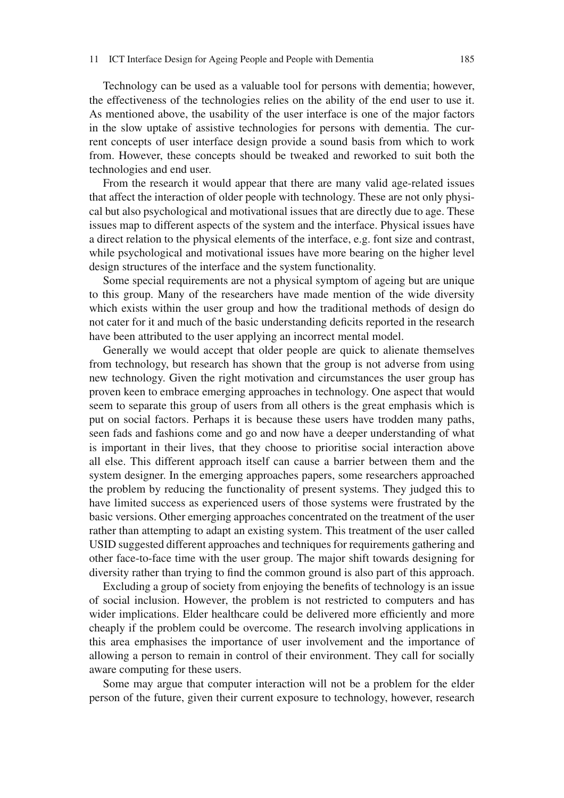Technology can be used as a valuable tool for persons with dementia; however, the effectiveness of the technologies relies on the ability of the end user to use it. As mentioned above, the usability of the user interface is one of the major factors in the slow uptake of assistive technologies for persons with dementia. The current concepts of user interface design provide a sound basis from which to work from. However, these concepts should be tweaked and reworked to suit both the technologies and end user.

From the research it would appear that there are many valid age-related issues that affect the interaction of older people with technology. These are not only physical but also psychological and motivational issues that are directly due to age. These issues map to different aspects of the system and the interface. Physical issues have a direct relation to the physical elements of the interface, e.g. font size and contrast, while psychological and motivational issues have more bearing on the higher level design structures of the interface and the system functionality.

Some special requirements are not a physical symptom of ageing but are unique to this group. Many of the researchers have made mention of the wide diversity which exists within the user group and how the traditional methods of design do not cater for it and much of the basic understanding deficits reported in the research have been attributed to the user applying an incorrect mental model.

Generally we would accept that older people are quick to alienate themselves from technology, but research has shown that the group is not adverse from using new technology. Given the right motivation and circumstances the user group has proven keen to embrace emerging approaches in technology. One aspect that would seem to separate this group of users from all others is the great emphasis which is put on social factors. Perhaps it is because these users have trodden many paths, seen fads and fashions come and go and now have a deeper understanding of what is important in their lives, that they choose to prioritise social interaction above all else. This different approach itself can cause a barrier between them and the system designer. In the emerging approaches papers, some researchers approached the problem by reducing the functionality of present systems. They judged this to have limited success as experienced users of those systems were frustrated by the basic versions. Other emerging approaches concentrated on the treatment of the user rather than attempting to adapt an existing system. This treatment of the user called USID suggested different approaches and techniques for requirements gathering and other face-to-face time with the user group. The major shift towards designing for diversity rather than trying to find the common ground is also part of this approach.

Excluding a group of society from enjoying the benefits of technology is an issue of social inclusion. However, the problem is not restricted to computers and has wider implications. Elder healthcare could be delivered more efficiently and more cheaply if the problem could be overcome. The research involving applications in this area emphasises the importance of user involvement and the importance of allowing a person to remain in control of their environment. They call for socially aware computing for these users.

Some may argue that computer interaction will not be a problem for the elder person of the future, given their current exposure to technology, however, research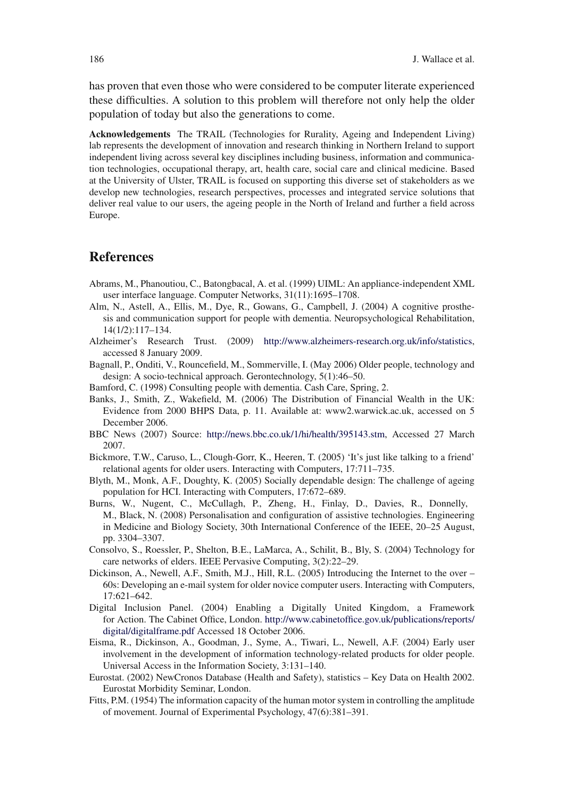has proven that even those who were considered to be computer literate experienced these difficulties. A solution to this problem will therefore not only help the older population of today but also the generations to come.

**Acknowledgements** The TRAIL (Technologies for Rurality, Ageing and Independent Living) lab represents the development of innovation and research thinking in Northern Ireland to support independent living across several key disciplines including business, information and communication technologies, occupational therapy, art, health care, social care and clinical medicine. Based at the University of Ulster, TRAIL is focused on supporting this diverse set of stakeholders as we develop new technologies, research perspectives, processes and integrated service solutions that deliver real value to our users, the ageing people in the North of Ireland and further a field across Europe.

#### **References**

- Abrams, M., Phanoutiou, C., Batongbacal, A. et al. (1999) UIML: An appliance-independent XML user interface language. Computer Networks, 31(11):1695–1708.
- Alm, N., Astell, A., Ellis, M., Dye, R., Gowans, G., Campbell, J. (2004) A cognitive prosthesis and communication support for people with dementia. Neuropsychological Rehabilitation, 14(1/2):117–134.
- Alzheimer's Research Trust. (2009) http://www.alzheimers-research.org.uk/info/statistics, accessed 8 January 2009.
- Bagnall, P., Onditi, V., Rouncefield, M., Sommerville, I. (May 2006) Older people, technology and design: A socio-technical approach. Gerontechnology, 5(1):46–50.
- Bamford, C. (1998) Consulting people with dementia. Cash Care, Spring, 2.
- Banks, J., Smith, Z., Wakefield, M. (2006) The Distribution of Financial Wealth in the UK: Evidence from 2000 BHPS Data, p. 11. Available at: www2.warwick.ac.uk, accessed on 5 December 2006.
- BBC News (2007) Source: http://news.bbc.co.uk/1/hi/health/395143.stm, Accessed 27 March 2007.
- Bickmore, T.W., Caruso, L., Clough-Gorr, K., Heeren, T. (2005) 'It's just like talking to a friend' relational agents for older users. Interacting with Computers, 17:711–735.
- Blyth, M., Monk, A.F., Doughty, K. (2005) Socially dependable design: The challenge of ageing population for HCI. Interacting with Computers, 17:672–689.
- Burns, W., Nugent, C., McCullagh, P., Zheng, H., Finlay, D., Davies, R., Donnelly, M., Black, N. (2008) Personalisation and configuration of assistive technologies. Engineering in Medicine and Biology Society, 30th International Conference of the IEEE, 20–25 August, pp. 3304–3307.
- Consolvo, S., Roessler, P., Shelton, B.E., LaMarca, A., Schilit, B., Bly, S. (2004) Technology for care networks of elders. IEEE Pervasive Computing, 3(2):22–29.
- Dickinson, A., Newell, A.F., Smith, M.J., Hill, R.L. (2005) Introducing the Internet to the over 60s: Developing an e-mail system for older novice computer users. Interacting with Computers, 17:621–642.
- Digital Inclusion Panel. (2004) Enabling a Digitally United Kingdom, a Framework for Action. The Cabinet Office, London. http://www.cabinetoffice.gov.uk/publications/reports/ digital/digitalframe.pdf Accessed 18 October 2006.
- Eisma, R., Dickinson, A., Goodman, J., Syme, A., Tiwari, L., Newell, A.F. (2004) Early user involvement in the development of information technology-related products for older people. Universal Access in the Information Society, 3:131–140.
- Eurostat. (2002) NewCronos Database (Health and Safety), statistics Key Data on Health 2002. Eurostat Morbidity Seminar, London.
- Fitts, P.M. (1954) The information capacity of the human motor system in controlling the amplitude of movement. Journal of Experimental Psychology, 47(6):381–391.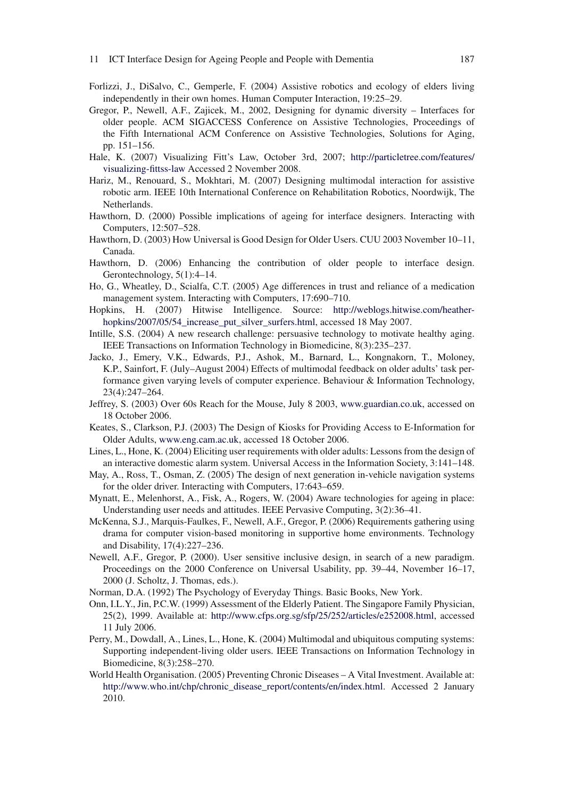- Forlizzi, J., DiSalvo, C., Gemperle, F. (2004) Assistive robotics and ecology of elders living independently in their own homes. Human Computer Interaction, 19:25–29.
- Gregor, P., Newell, A.F., Zajicek, M., 2002, Designing for dynamic diversity Interfaces for older people. ACM SIGACCESS Conference on Assistive Technologies, Proceedings of the Fifth International ACM Conference on Assistive Technologies, Solutions for Aging, pp. 151–156.
- Hale, K. (2007) Visualizing Fitt's Law, October 3rd, 2007; http://particletree.com/features/ visualizing-fittss-law Accessed 2 November 2008.
- Hariz, M., Renouard, S., Mokhtari, M. (2007) Designing multimodal interaction for assistive robotic arm. IEEE 10th International Conference on Rehabilitation Robotics, Noordwijk, The Netherlands.
- Hawthorn, D. (2000) Possible implications of ageing for interface designers. Interacting with Computers, 12:507–528.
- Hawthorn, D. (2003) How Universal is Good Design for Older Users. CUU 2003 November 10–11, Canada.
- Hawthorn, D. (2006) Enhancing the contribution of older people to interface design. Gerontechnology, 5(1):4–14.
- Ho, G., Wheatley, D., Scialfa, C.T. (2005) Age differences in trust and reliance of a medication management system. Interacting with Computers, 17:690–710.
- Hopkins, H. (2007) Hitwise Intelligence. Source: http://weblogs.hitwise.com/heatherhopkins/2007/05/54 increase put silver surfers.html, accessed 18 May 2007.
- Intille, S.S. (2004) A new research challenge: persuasive technology to motivate healthy aging. IEEE Transactions on Information Technology in Biomedicine, 8(3):235–237.
- Jacko, J., Emery, V.K., Edwards, P.J., Ashok, M., Barnard, L., Kongnakorn, T., Moloney, K.P., Sainfort, F. (July–August 2004) Effects of multimodal feedback on older adults' task performance given varying levels of computer experience. Behaviour & Information Technology, 23(4):247–264.
- Jeffrey, S. (2003) Over 60s Reach for the Mouse, July 8 2003, www.guardian.co.uk, accessed on 18 October 2006.
- Keates, S., Clarkson, P.J. (2003) The Design of Kiosks for Providing Access to E-Information for Older Adults, www.eng.cam.ac.uk, accessed 18 October 2006.
- Lines, L., Hone, K. (2004) Eliciting user requirements with older adults: Lessons from the design of an interactive domestic alarm system. Universal Access in the Information Society, 3:141–148.
- May, A., Ross, T., Osman, Z. (2005) The design of next generation in-vehicle navigation systems for the older driver. Interacting with Computers, 17:643–659.
- Mynatt, E., Melenhorst, A., Fisk, A., Rogers, W. (2004) Aware technologies for ageing in place: Understanding user needs and attitudes. IEEE Pervasive Computing, 3(2):36–41.
- McKenna, S.J., Marquis-Faulkes, F., Newell, A.F., Gregor, P. (2006) Requirements gathering using drama for computer vision-based monitoring in supportive home environments. Technology and Disability, 17(4):227–236.
- Newell, A.F., Gregor, P. (2000). User sensitive inclusive design, in search of a new paradigm. Proceedings on the 2000 Conference on Universal Usability, pp. 39–44, November 16–17, 2000 (J. Scholtz, J. Thomas, eds.).
- Norman, D.A. (1992) The Psychology of Everyday Things. Basic Books, New York.
- Onn, I.L.Y., Jin, P.C.W. (1999) Assessment of the Elderly Patient. The Singapore Family Physician, 25(2), 1999. Available at: http://www.cfps.org.sg/sfp/25/252/articles/e252008.html, accessed 11 July 2006.
- Perry, M., Dowdall, A., Lines, L., Hone, K. (2004) Multimodal and ubiquitous computing systems: Supporting independent-living older users. IEEE Transactions on Information Technology in Biomedicine, 8(3):258–270.
- World Health Organisation. (2005) Preventing Chronic Diseases A Vital Investment. Available at: http://www.who.int/chp/chronic\_disease\_report/contents/en/index.html. Accessed 2 January 2010.